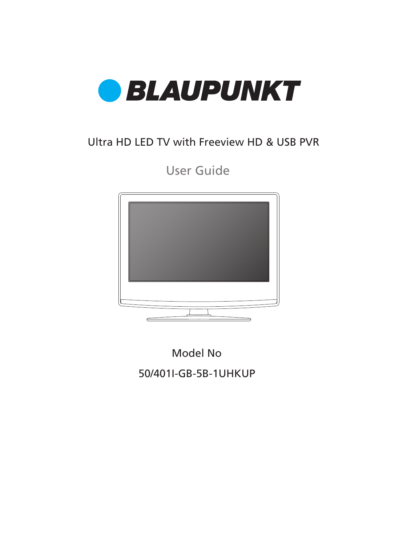

## Ultra HD LED TV with Freeview HD & USB PVR

User Guide



50/401I-GB-5B-1UHKUP Model No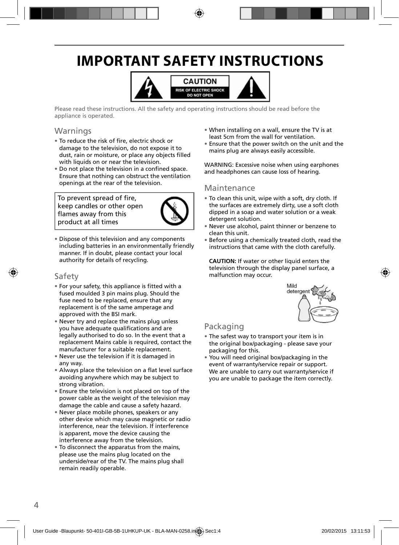# **IMPORTANT SAFETY INSTRUCTIONS**



Please read these instructions. All the safety and operating instructions should be read before the appliance is operated.

## Warnings

- To reduce the risk of fire, electric shock or damage to the television, do not expose it to dust, rain or moisture, or place any objects filled with liquids on or near the television.
- Do not place the television in a confined space. Ensure that nothing can obstruct the ventilation openings at the rear of the television.

To prevent spread of fire. keep candles or other open flames away from this product at all times



• Dispose of this television and any components including batteries in an environmentally friendly manner. If in doubt, please contact your local authority for details of recycling.

### Safety

- For your safety, this appliance is fitted with a fused moulded 3 pin mains plug. Should the fuse need to be replaced, ensure that any replacement is of the same amperage and approved with the BSI mark.
- Never try and replace the mains plug unless you have adequate qualifications and are legally authorised to do so. In the event that a replacement Mains cable is required, contact the manufacturer for a suitable replacement.
- Never use the television if it is damaged in any way.
- Always place the television on a flat level surface avoiding anywhere which may be subject to strong vibration.
- Ensure the television is not placed on top of the power cable as the weight of the television may damage the cable and cause a safety hazard.
- Never place mobile phones, speakers or any other device which may cause magnetic or radio interference, near the television. If interference is apparent, move the device causing the interference away from the television.
- To disconnect the apparatus from the mains, please use the mains plug located on the underside/rear of the TV. The mains plug shall remain readily operable.
- When installing on a wall, ensure the TV is at least 5cm from the wall for ventilation.
- Ensure that the power switch on the unit and the mains plug are always easily accessible.

WARNING: Excessive noise when using earphones and headphones can cause loss of hearing.

### Maintenance

- To clean this unit, wipe with a soft, dry cloth. If the surfaces are extremely dirty, use a soft cloth dipped in a soap and water solution or a weak detergent solution.
- Never use alcohol, paint thinner or benzene to clean this unit.
- Before using a chemically treated cloth, read the instructions that came with the cloth carefully.

**CAUTION:** If water or other liquid enters the television through the display panel surface, a malfunction may occur.



## Packaging

- The safest way to transport your item is in the original box/packaging - please save your packaging for this.
- You will need original box/packaging in the event of warranty/service repair or support. We are unable to carry out warranty/service if you are unable to package the item correctly.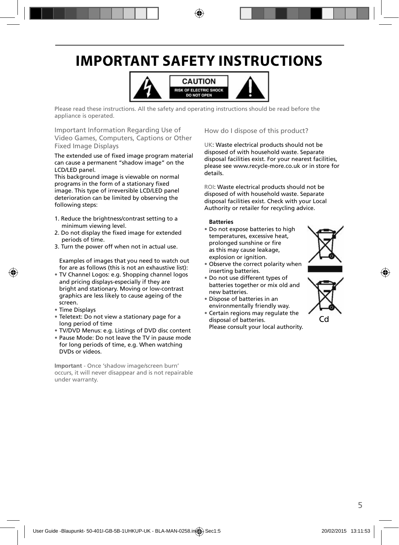# **IMPORTANT SAFETY INSTRUCTIONS**



Please read these instructions. All the safety and operating instructions should be read before the appliance is operated.

Important Information Regarding Use of Video Games, Computers, Captions or Other Fixed Image Displays

The extended use of fixed image program material can cause a permanent "shadow image" on the LCD/LED panel.

This background image is viewable on normal programs in the form of a stationary fixed image. This type of irreversible LCD/LED panel deterioration can be limited by observing the following steps:

- 1. Reduce the brightness/contrast setting to a minimum viewing level.
- 2. Do not display the fixed image for extended periods of time.
- 3. Turn the power off when not in actual use.

Examples of images that you need to watch out for are as follows (this is not an exhaustive list):

- TV Channel Logos: e.g. Shopping channel logos and pricing displays-especially if they are bright and stationary. Moving or low-contrast graphics are less likely to cause ageing of the screen.
- Time Displays
- Teletext: Do not view a stationary page for a long period of time
- TV/DVD Menus: e.g. Listings of DVD disc content
- Pause Mode: Do not leave the TV in pause mode for long periods of time, e.g. When watching DVDs or videos.

**Important** - Once 'shadow image/screen burn' occurs, it will never disappear and is not repairable under warranty.

How do I dispose of this product?

UK: Waste electrical products should not be disposed of with household waste. Separate disposal facilities exist. For your nearest facilities, please see www.recycle-more.co.uk or in store for details.

ROI: Waste electrical products should not be disposed of with household waste. Separate disposal facilities exist. Check with your Local Authority or retailer for recycling advice.

### **Batteries**

• Do not expose batteries to high temperatures, excessive heat, prolonged sunshine or fire as this may cause leakage, explosion or ignition.



- Do not use different types of batteries together or mix old and new batteries.
- Dispose of batteries in an environmentally friendly way.
- Certain regions may regulate the disposal of batteries. Please consult your local authority.



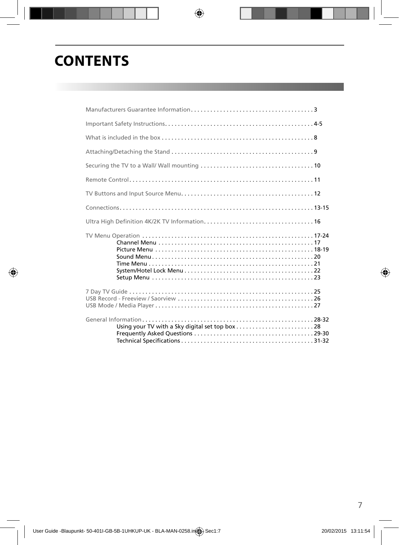# **CONTENTS**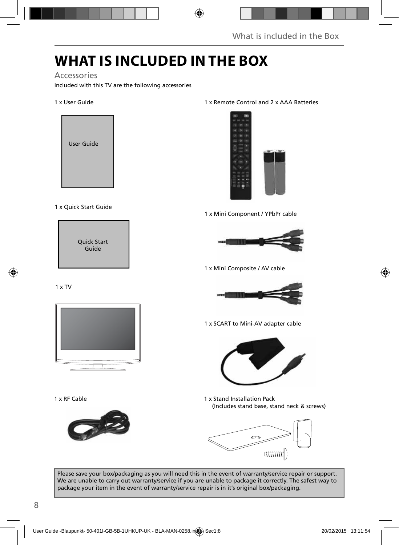# **WHAT IS INCLUDED IN THE BOX**

## Accessories

Included with this TV are the following accessories

### 1 x User Guide



### 1 x Quick Start Guide



### 1 x Remote Control and 2 x AAA Batteries



1 x Mini Component / YPbPr cable



1 x Mini Composite / AV cable



1 x SCART to Mini-AV adapter cable



1 x Stand Installation Pack (Includes stand base, stand neck & screws)



Please save your box/packaging as you will need this in the event of warranty/service repair or support. We are unable to carry out warranty/service if you are unable to package it correctly. The safest way to package your item in the event of warranty/service repair is in it's original box/packaging.

1 x TV



1 x RF Cable

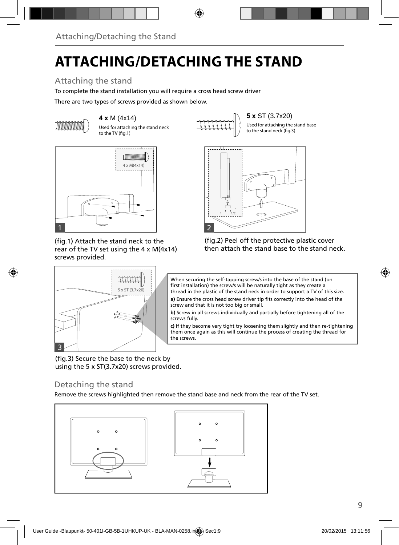# **ATTACHING/DETACHING THE STAND**

## Attaching the stand

To complete the stand installation you will require a cross head screw driver

There are two types of screws provided as shown below.



Used for attaching the stand neck

to the TV (fig.1)

1 1/2

**5 x** ST (3.7x20) **4 x** M (4x14) Used for attaching the stand base to the stand neck (fig.3)



(fig.1) Attach the stand neck to the rear of the TV set using the 4 x M(4x14) screws provided.



When securing the self-tapping screw/s into the base of the stand (on first installation) the screw/s will be naturally tight as they create a thread in the plastic of the stand neck in order to support a TV of this size.

(fig.2) Peel off the protective plastic cover then attach the stand base to the stand neck.

a) Ensure the cross head screw driver tip fits correctly into the head of the screw and that it is not too big or small.

**b)** Screw in all screws individually and partially before tightening all of the screws fully.

**c)** If they become very tight try loosening them slightly and then re-tightening them once again as this will continue the process of creating the thread for the screws.

(fig.3) Secure the base to the neck by using the 5 x ST(3.7x20) screws provided.

## Detaching the stand

Remove the screws highlighted then remove the stand base and neck from the rear of the TV set.

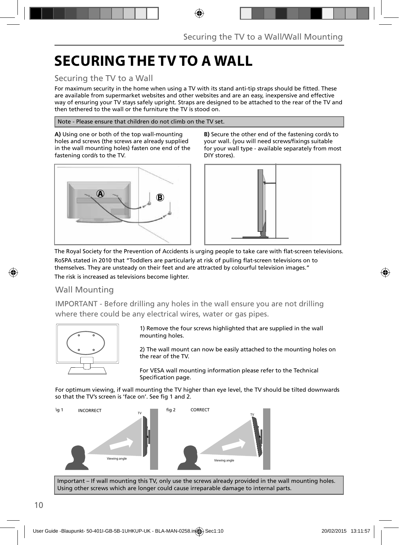# **SECURING THE TV TO A WALL**

## Securing the TV to a Wall

For maximum security in the home when using a TV with its stand anti-tip straps should be fitted. These are available from supermarket websites and other websites and are an easy, inexpensive and effective way of ensuring your TV stays safely upright. Straps are designed to be attached to the rear of the TV and then tethered to the wall or the furniture the TV is stood on.

Note - Please ensure that children do not climb on the TV set.

**A)** Using one or both of the top wall-mounting holes and screws (the screws are already supplied in the wall mounting holes) fasten one end of the fastening cord/s to the TV.



**B)** Secure the other end of the fastening cord/s to your wall. (you will need screws/fixings suitable for your wall type - available separately from most DIY stores).



The Royal Society for the Prevention of Accidents is urging people to take care with flat-screen televisions. RoSPA stated in 2010 that "Toddlers are particularly at risk of pulling flat-screen televisions on to themselves. They are unsteady on their feet and are attracted by colourful television images." The risk is increased as televisions become lighter.

## Wall Mounting

IMPORTANT - Before drilling any holes in the wall ensure you are not drilling where there could be any electrical wires, water or gas pipes.



1) Remove the four screws highlighted that are supplied in the wall mounting holes.

2) The wall mount can now be easily attached to the mounting holes on the rear of the TV.

For VESA wall mounting information please refer to the Technical Specification page.

For optimum viewing, if wall mounting the TV higher than eye level, the TV should be tilted downwards so that the TV's screen is 'face on'. See fig 1 and 2.



Important – If wall mounting this TV, only use the screws already provided in the wall mounting holes. Using other screws which are longer could cause irreparable damage to internal parts.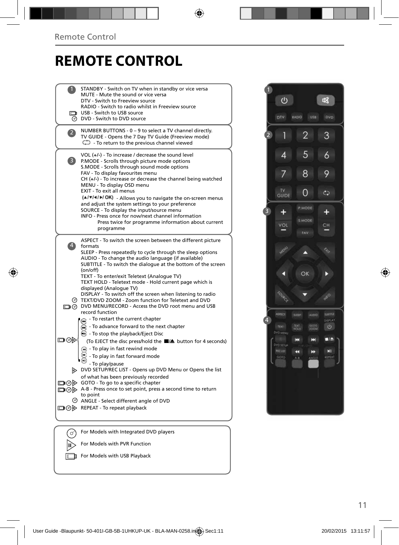# **REMOTE CONTROL**

|                   | STANDBY - Switch on TV when in standby or vice versa                                                                 |  |
|-------------------|----------------------------------------------------------------------------------------------------------------------|--|
|                   | MUTE - Mute the sound or vice versa<br>DTV - Switch to Freeview source                                               |  |
|                   | RADIO - Switch to radio whilst in Freeview source                                                                    |  |
|                   | USB - Switch to USB source                                                                                           |  |
|                   | O DVD - Switch to DVD source                                                                                         |  |
|                   | NUMBER BUTTONS - 0 - 9 to select a TV channel directly.                                                              |  |
| $\overline{2}$    | TV GUIDE - Opens the 7 Day TV Guide (Freeview mode)                                                                  |  |
|                   | $\mathbb{Q}$ - To return to the previous channel viewed                                                              |  |
|                   |                                                                                                                      |  |
|                   | VOL (+/-) - To increase / decrease the sound level                                                                   |  |
| 3)                | P.MODE - Scrolls through picture mode options                                                                        |  |
|                   | S.MODE - Scrolls through sound mode options<br>FAV - To display favourites menu                                      |  |
|                   | $CH (+/-)$ - To increase or decrease the channel being watched                                                       |  |
|                   | MENU - To display OSD menu                                                                                           |  |
|                   | EXIT - To exit all menus                                                                                             |  |
|                   | (A/V/4/D/OK) - Allows you to navigate the on-screen menus                                                            |  |
|                   | and adjust the system settings to your preference                                                                    |  |
|                   | SOURCE - To display the input/source menu                                                                            |  |
|                   | INFO - Press once for now/next channel information<br>Press twice for programme information about current            |  |
|                   | programme                                                                                                            |  |
|                   |                                                                                                                      |  |
|                   | ASPECT - To switch the screen between the different picture                                                          |  |
| $\vert 4 \rangle$ | formats                                                                                                              |  |
|                   | SLEEP - Press repeatedly to cycle through the sleep options                                                          |  |
|                   | AUDIO - To change the audio language (if available)<br>SUBTITLE - To switch the dialogue at the bottom of the screen |  |
|                   | (on/off)                                                                                                             |  |
|                   | TEXT - To enter/exit Teletext (Analogue TV)                                                                          |  |
|                   | TEXT HOLD - Teletext mode - Hold current page which is                                                               |  |
|                   | displayed (Analoque TV)                                                                                              |  |
|                   | DISPLAY - To switch off the screen when listening to radio                                                           |  |
|                   | © TEXT/DVD ZOOM - Zoom function for Teletext and DVD<br>DVD MENU/RECORD - Access the DVD root menu and USB           |  |
|                   | record function                                                                                                      |  |
|                   | - To restart the current chapter                                                                                     |  |
|                   | To advance forward to the next chapter                                                                               |  |
|                   | <b>B</b> - To stop the playback/Eject Disc                                                                           |  |
| ▭⊙▶               | (To EJECT the disc press/hold the ■▲ button for 4 seconds)                                                           |  |
|                   | $\left( \widehat{A} \right)$ - To play in fast rewind mode                                                           |  |
|                   | - To play in fast forward mode                                                                                       |  |
|                   |                                                                                                                      |  |
|                   | - To play/pause<br>DVD SETUP/REC LIST - Opens up DVD Menu or Opens the list                                          |  |
|                   | of what has been previously recorded                                                                                 |  |
|                   | $\Box \textcircled{b}$ GOTO - To go to a specific chapter                                                            |  |
|                   | A-B - Press once to set point, press a second time to return                                                         |  |
|                   | to point                                                                                                             |  |
|                   | © ANGLE - Select different angle of DVD                                                                              |  |
|                   | □ ⊙ D REPEAT - To repeat playback                                                                                    |  |
|                   |                                                                                                                      |  |
|                   |                                                                                                                      |  |
| (ග)               | For Models with Integrated DVD players                                                                               |  |
|                   |                                                                                                                      |  |

For Models with PVR Function For Models with USB Playback

 $\Rightarrow$ 

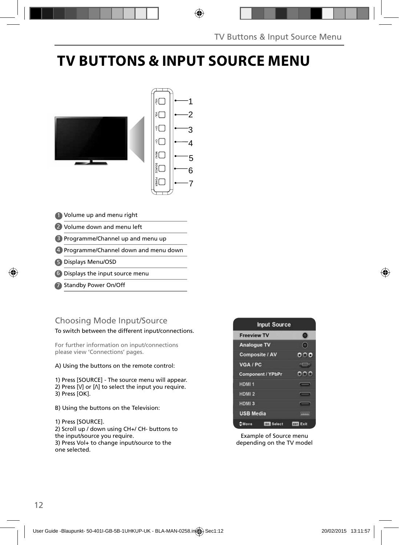# **TV BUTTONS & INPUT SOURCE MENU**



- Volume up and menu right 1
- 2 Volume down and menu left
- **B** Programme/Channel up and menu up
- Programme/Channel down and menu down 4
- Displays Menu/OSD 5
- 6) Displays the input source menu
- Standby Power On/Off 7

## Choosing Mode Input/Source

To switch between the different input/connections.

For further information on input/connections please view 'Connections' pages.

A) Using the buttons on the remote control:

1) Press [SOURCE] - The source menu will appear. 2) Press  $[V]$  or  $[\Lambda]$  to select the input you require. 3) Press [OK].

B) Using the buttons on the Television:

1) Press [SOURCE]. 2) Scroll up / down using CH+/ CH- buttons to the input/source you require. 3) Press Vol+ to change input/source to the one selected.



Example of Source menu depending on the TV model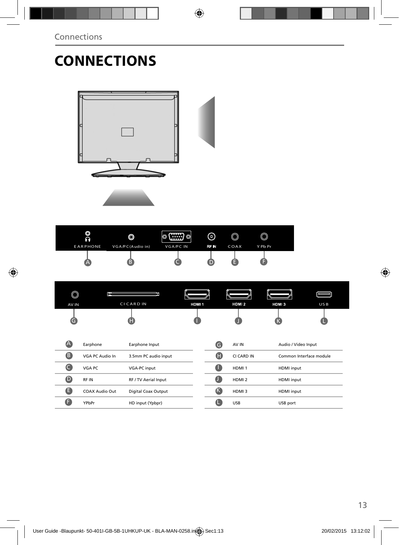# **CONNECTIONS**



| O<br>↷          | O                | 10<br>⊚<br>00000<br>لوهوموا | (c)   |      |         |  |
|-----------------|------------------|-----------------------------|-------|------|---------|--|
| <b>EARPHONE</b> | VGA/PC(Audio in) | <b>VGA/PC IN</b>            | RF IN | COAX | Y Pb Pr |  |
| $\mathsf{A}$    |                  |                             |       |      |         |  |

| ◚<br>৺ | Ш               |                   |       |                  |     |
|--------|-----------------|-------------------|-------|------------------|-----|
| AV IN  | <b>CICARDIN</b> | HDMI <sub>1</sub> | HDM 2 | HDM <sub>3</sub> | USB |
|        |                 |                   |       |                  |     |

| $\mathbb A$ | Earphone              | Earphone Input       | G  | AV IN             | Audio / Video Input     |
|-------------|-----------------------|----------------------|----|-------------------|-------------------------|
| B           | VGA PC Audio In       | 3.5mm PC audio input | Œ  | CI CARD IN        | Common Interface module |
|             | VGA PC                | VGA-PC input         | u  | HDMI <sub>1</sub> | HDMI input              |
| $\mathbf 0$ | RF IN                 | RF / TV Aerial Input | u  | HDMI <sub>2</sub> | <b>HDMI</b> input       |
| A           | <b>COAX Audio Out</b> | Digital Coax Output  | (K | HDMI <sub>3</sub> | <b>HDMI</b> input       |
|             | YPbPr                 | HD input (Ypbpr)     |    | <b>USB</b>        | USB port                |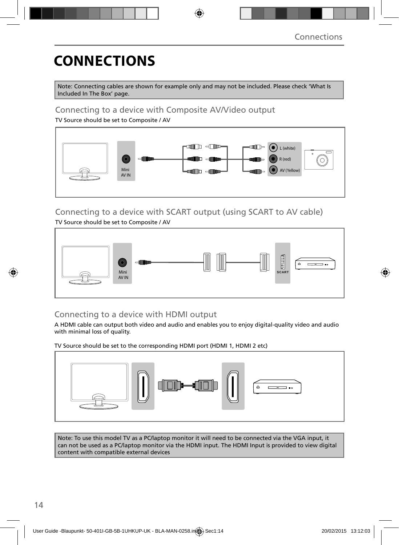# **CONNECTIONS**

Note: Connecting cables are shown for example only and may not be included. Please check 'What Is Included In The Box' page.

## Connecting to a device with Composite AV/Video output

TV Source should be set to Composite / AV



## Connecting to a device with SCART output (using SCART to AV cable) TV Source should be set to Composite / AV



## Connecting to a device with HDMI output

A HDMI cable can output both video and audio and enables you to enjoy digital-quality video and audio with minimal loss of quality.

TV Source should be set to the corresponding HDMI port (HDMI 1, HDMI 2 etc)



Note: To use this model TV as a PC/laptop monitor it will need to be connected via the VGA input, it can not be used as a PC/laptop monitor via the HDMI input. The HDMI Input is provided to view digital content with compatible external devices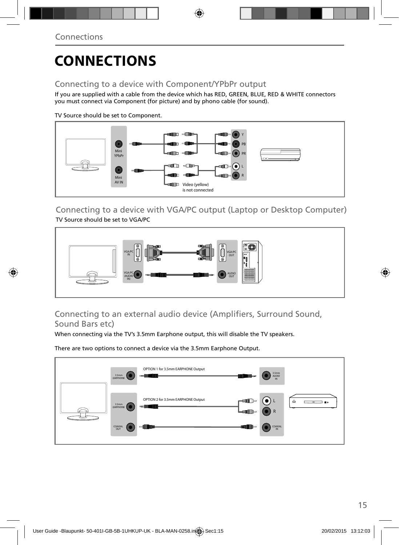# **CONNECTIONS**

## Connecting to a device with Component/YPbPr output

If you are supplied with a cable from the device which has RED, GREEN, BLUE, RED & WHITE connectors you must connect via Component (for picture) and by phono cable (for sound).

TV Source should be set to Component.



Connecting to a device with VGA/PC output (Laptop or Desktop Computer) TV Source should be set to VGA/PC



Connecting to an external audio device (Amplifiers, Surround Sound, Sound Bars etc)

When connecting via the TV's 3.5mm Earphone output, this will disable the TV speakers.

There are two options to connect a device via the 3.5mm Earphone Output.

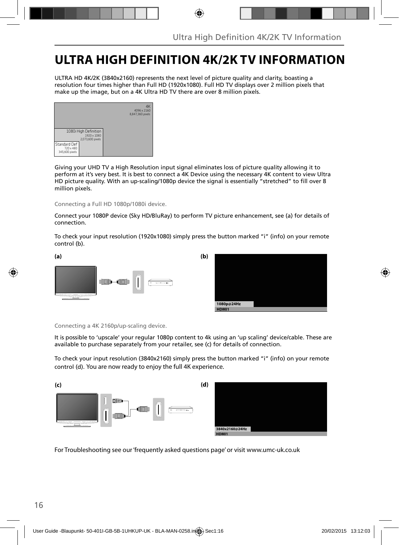## **ULTRA HIGH DEFINITION 4K/2K TV INFORMATION**

ULTRA HD 4K/2K (3840x2160) represents the next level of picture quality and clarity, boasting a resolution four times higher than Full HD (1920x1080). Full HD TV displays over 2 million pixels that make up the image, but on a 4K Ultra HD TV there are over 8 million pixels.

|                                                                                                         | 4K<br>4096 x 2160<br>8,847,360 pixels |
|---------------------------------------------------------------------------------------------------------|---------------------------------------|
| 1080i High Definition<br>1920 x 1080<br>2.073.600 pixels<br>Standard Def<br>720 x 480<br>345,600 pixels |                                       |

Giving your UHD TV a High Resolution input signal eliminates loss of picture quality allowing it to perform at it's very best. It is best to connect a 4K Device using the necessary 4K content to view Ultra HD picture quality. With an up-scaling/1080p device the signal is essentially "stretched" to fill over 8 million pixels.

Connecting a Full HD 1080p/1080i device.

Connect your 1080P device (Sky HD/BluRay) to perform TV picture enhancement, see (a) for details of connection.

To check your input resolution (1920x1080) simply press the button marked "i" (info) on your remote control (b).





### Connecting a 4K 2160p/up-scaling device.

It is possible to 'upscale' your regular 1080p content to 4k using an 'up scaling' device/cable. These are available to purchase separately from your retailer, see (c) for details of connection.

To check your input resolution (3840x2160) simply press the button marked "i" (info) on your remote control (d). You are now ready to enjoy the full 4K experience.



For Troubleshooting see our 'frequently asked questions page' or visit www.umc-uk.co.uk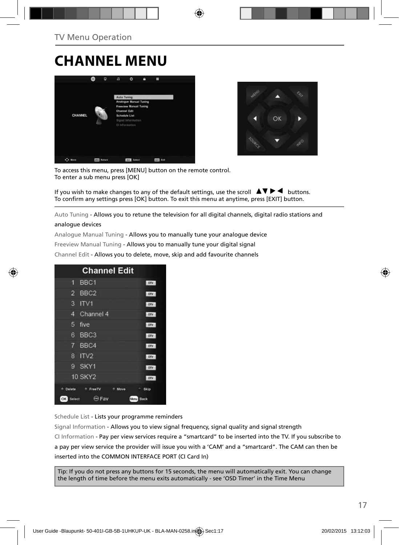## **CHANNEL MENU**





To access this menu, press [MENU] button on the remote control. To enter a sub menu press [OK]

If you wish to make changes to any of the default settings, use the scroll  $\Delta \nabla \blacktriangleright$  buttons. To confirm any settings press [OK] button. To exit this menu at anytime, press [EXIT] button.

Auto Tuning - Allows you to retune the television for all digital channels, digital radio stations and

### analogue devices

Analogue Manual Tuning - Allows you to manually tune your analogue device

Freeview Manual Tuning - Allows you to manually tune your digital signal

Channel Edit - Allows you to delete, move, skip and add favourite channels

| <b>Channel Edit</b>                   |              |
|---------------------------------------|--------------|
| BBC <sub>1</sub><br>5                 | onv          |
| BBC <sub>2</sub><br>$\overline{2}$    | otv          |
| з<br>ITV1                             | otv          |
| Channel 4<br>4                        | otv          |
| 5<br>five                             | otv          |
| BBC3<br>6                             | DTV          |
| 7 BBC4                                | onv          |
| ITV <sub>2</sub><br>8                 | onv          |
| SKY1<br>g                             | onv          |
| <b>10 SKY2</b>                        | otv          |
| Delete<br><sup>#</sup> FreeTV<br>Move | Skip         |
| <b>Exp</b> Fav<br>OK<br>Select        | Back<br>Menu |

Schedule List - Lists your programme reminders

Signal Information - Allows you to view signal frequency, signal quality and signal strength CI Information - Pay per view services require a "smartcard" to be inserted into the TV. If you subscribe to a pay per view service the provider will issue you with a 'CAM' and a "smartcard". The CAM can then be inserted into the COMMON INTERFACE PORT (CI Card In)

Tip: If you do not press any buttons for 15 seconds, the menu will automatically exit. You can change the length of time before the menu exits automatically - see 'OSD Timer' in the Time Menu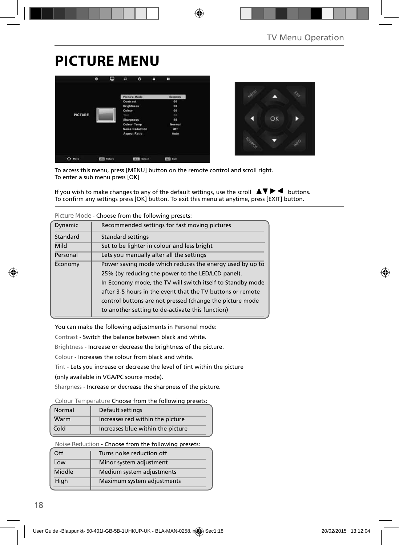# **PICTURE MENU**





To access this menu, press [MENU] button on the remote control and scroll right. To enter a sub menu press [OK]

If you wish to make changes to any of the default settings, use the scroll  $\Box \blacktriangledown \blacktriangleright \blacktriangleleft$  buttons. To confirm any settings press [OK] button. To exit this menu at anytime, press [EXIT] button.

|                                                                     | Picture Mode - Choose from the following presets.          |  |  |  |
|---------------------------------------------------------------------|------------------------------------------------------------|--|--|--|
| Dynamic                                                             | Recommended settings for fast moving pictures              |  |  |  |
| Standard                                                            | Standard settings                                          |  |  |  |
| Mild                                                                | Set to be lighter in colour and less bright                |  |  |  |
| Personal                                                            | Lets you manually alter all the settings                   |  |  |  |
| Power saving mode which reduces the energy used by up to<br>Economy |                                                            |  |  |  |
| 25% (by reducing the power to the LED/LCD panel).                   |                                                            |  |  |  |
| In Economy mode, the TV will switch itself to Standby mode          |                                                            |  |  |  |
|                                                                     | after 3-5 hours in the event that the TV buttons or remote |  |  |  |
|                                                                     | control buttons are not pressed (change the picture mode   |  |  |  |
|                                                                     | to another setting to de-activate this function)           |  |  |  |

**Picture Mode** - Choose from the following presets:

You can make the following adjustments in **Personal** mode:

Contrast - Switch the balance between black and white.

Brightness - Increase or decrease the brightness of the picture.

Colour - Increases the colour from black and white.

Tint - Lets you increase or decrease the level of tint within the picture

(only available in VGA/PC source mode).

Sharpness - Increase or decrease the sharpness of the picture.

### **Colour Temperature** Choose from the following presets:

| Normal | Default settings                  |
|--------|-----------------------------------|
| Warm   | Increases red within the picture  |
| Cold   | Increases blue within the picture |

**Noise Reduction** - Choose from the following presets:

| 0ff    | Turns noise reduction off  |
|--------|----------------------------|
| Low    | Minor system adjustment    |
| Middle | Medium system adjustments  |
| High   | Maximum system adjustments |
|        |                            |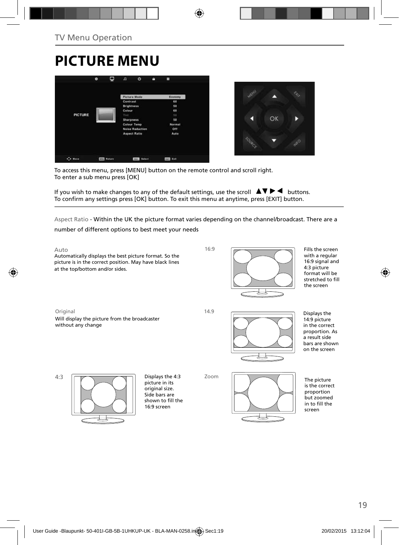# **PICTURE MENU**





To access this menu, press [MENU] button on the remote control and scroll right. To enter a sub menu press [OK]

If you wish to make changes to any of the default settings, use the scroll  $\Box \blacktriangledown \blacktriangleright \blacktriangleleft$  buttons. To confirm any settings press [OK] button. To exit this menu at anytime, press [EXIT] button.

Aspect Ratio - Within the UK the picture format varies depending on the channel/broadcast. There are a

number of different options to best meet your needs

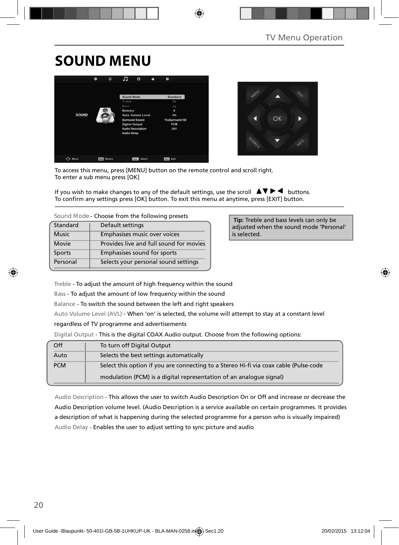# **SOUND MENU**





To access this menu, press [MENU] button on the remote control and scroll right. To enter a sub menu press [OK]

If you wish to make changes to any of the default settings, use the scroll  $\Box \blacktriangledown \blacktriangleright \blacktriangleleft$  buttons. To confirm any settings press [OK] button. To exit this menu at anytime, press [EXIT] button.

| Sound Mode - Choose from the following presets |                                         |  |
|------------------------------------------------|-----------------------------------------|--|
| Standard<br>Default settings                   |                                         |  |
| <b>Music</b>                                   | Emphasises music over voices            |  |
| <b>Movie</b>                                   | Provides live and full sound for movies |  |
| Sports                                         | Emphasises sound for sports             |  |
| Personal                                       | Selects your personal sound settings    |  |

 **Tip:** Treble and bass levels can only be adjusted when the sound mode 'Personal' is selected.

Treble - To adjust the amount of high frequency within the sound

Bass - To adjust the amount of low frequency within the sound

Balance - To switch the sound between the left and right speakers

Auto Volume Level (AVL) - When 'on' is selected, the volume will attempt to stay at a constant level regardless of TV programme and advertisements

Digital Output - This is the digital COAX Audio output. Choose from the following options:

| Off        | To turn off Digital Output                                                            |
|------------|---------------------------------------------------------------------------------------|
| Auto       | Selects the best settings automatically                                               |
| <b>PCM</b> | Select this option if you are connecting to a Stereo Hi-fi via coax cable (Pulse-code |
|            | modulation (PCM) is a digital representation of an analogue signal)                   |

Audio Description - This allows the user to switch Audio Description On or Off and increase or decrease the Audio Description volume level. (Audio Description is a service available on certain programmes. It provides a description of what is happening during the selected programme for a person who is visually impaired) Audio Delay - Enables the user to adjust setting to sync picture and audio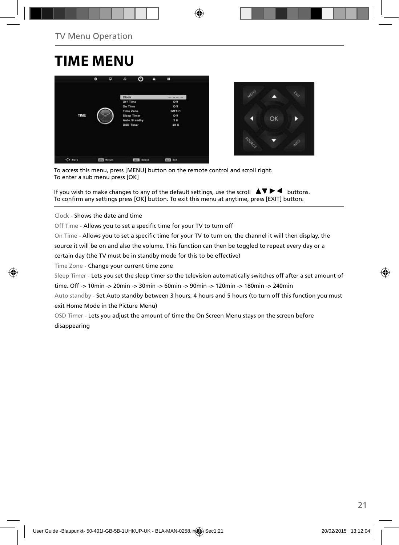## **TIME MENU**





To access this menu, press [MENU] button on the remote control and scroll right. To enter a sub menu press [OK]

If you wish to make changes to any of the default settings, use the scroll  $\Box \blacktriangledown \blacktriangleright \blacktriangleleft$  buttons. To confirm any settings press [OK] button. To exit this menu at anytime, press [EXIT] button.

Clock - Shows the date and time

Off Time - Allows you to set a specific time for your TV to turn off

On Time - Allows you to set a specific time for your TV to turn on, the channel it will then display, the source it will be on and also the volume. This function can then be toggled to repeat every day or a

certain day (the TV must be in standby mode for this to be effective)

Time Zone - Change your current time zone

Sleep Timer - Lets you set the sleep timer so the television automatically switches off after a set amount of

time. Off -> 10min -> 20min -> 30min -> 60min -> 90min -> 120min -> 180min -> 240min

Auto standby - Set Auto standby between 3 hours, 4 hours and 5 hours (to turn off this function you must exit Home Mode in the Picture Menu)

OSD Timer - Lets you adjust the amount of time the On Screen Menu stays on the screen before disappearing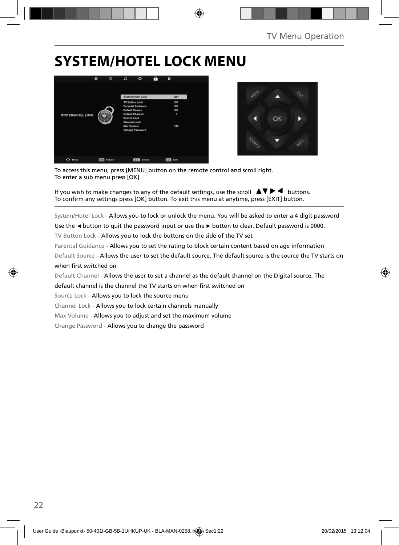# **SYSTEM/HOTEL LOCK MENU**





To access this menu, press [MENU] button on the remote control and scroll right. To enter a sub menu press [OK]

If you wish to make changes to any of the default settings, use the scroll  $\Box \Box \blacktriangleright \blacktriangleleft$  buttons. To confirm any settings press [OK] button. To exit this menu at anytime, press [EXIT] button.

System/Hotel Lock - Allows you to lock or unlock the menu. You will be asked to enter a 4 digit password

Use the **◄** button to quit the password input or use the **►** button to clear. Default password is 0000.

TV Button Lock - Allows you to lock the buttons on the side of the TV set

Parental Guidance - Allows you to set the rating to block certain content based on age information

Default Source - Allows the user to set the default source. The default source is the source the TV starts on when first switched on

Default Channel - Allows the user to set a channel as the default channel on the Digital source. The

default channel is the channel the TV starts on when first switched on

Source Lock - Allows you to lock the source menu

Channel Lock - Allows you to lock certain channels manually

Max Volume - Allows you to adjust and set the maximum volume

Change Password - Allows you to change the password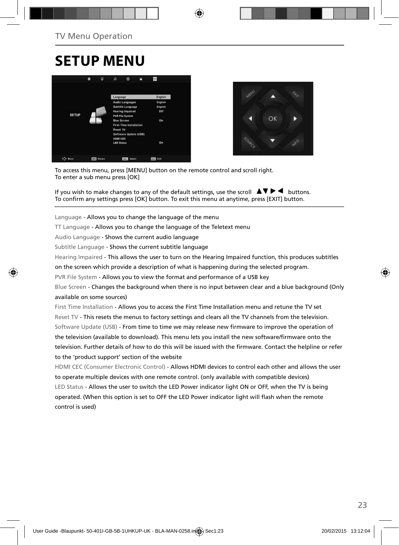## **SETUP MENU**





To access this menu, press [MENU] button on the remote control and scroll right. To enter a sub menu press [OK]

If you wish to make changes to any of the default settings, use the scroll  $\Box \blacktriangledown \blacktriangleright \blacktriangleleft$  buttons. To confirm any settings press [OK] button. To exit this menu at anytime, press [EXIT] button.

Language - Allows you to change the language of the menu

TT Language - Allows you to change the language of the Teletext menu

Audio Language - Shows the current audio language

Subtitle Language - Shows the current subtitle language

Hearing Impaired - This allows the user to turn on the Hearing Impaired function, this produces subtitles

on the screen which provide a description of what is happening during the selected program.

PVR File System - Allows you to view the format and performance of a USB key

Blue Screen - Changes the background when there is no input between clear and a blue background (Only available on some sources)

First Time Installation - Allows you to access the First Time Installation menu and retune the TV set Reset TV - This resets the menus to factory settings and clears all the TV channels from the television. Software Update (USB) - From time to time we may release new firmware to improve the operation of the television (available to download). This menu lets you install the new software/firmware onto the television. Further details of how to do this will be issued with the firmware. Contact the helpline or refer to the 'product support' section of the website

HDMI CEC (Consumer Electronic Control) - Allows HDMI devices to control each other and allows the user to operate multiple devices with one remote control. (only available with compatible devices) LED Status - Allows the user to switch the LED Power indicator light ON or OFF, when the TV is being operated. (When this option is set to OFF the LED Power indicator light will flash when the remote control is used)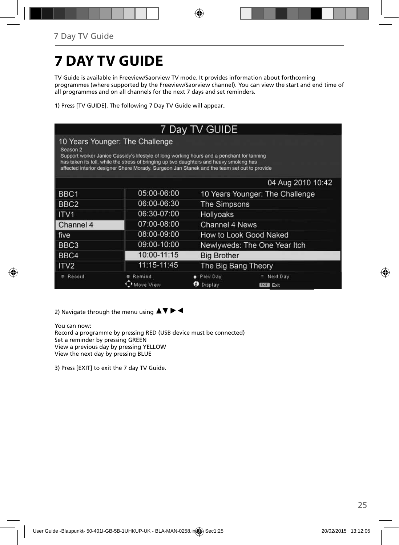# **7 DAY TV GUIDE**

TV Guide is available in Freeview/Saorview TV mode. It provides information about forthcoming programmes (where supported by the Freeview/Saorview channel). You can view the start and end time of all programmes and on all channels for the next 7 days and set reminders.

1) Press [TV GUIDE]. The following 7 Day TV Guide will appear..

| 7 Day TV GUIDE      |                                                                                                                                                                                                                                                                                                                         |                                                        |                   |  |
|---------------------|-------------------------------------------------------------------------------------------------------------------------------------------------------------------------------------------------------------------------------------------------------------------------------------------------------------------------|--------------------------------------------------------|-------------------|--|
| Season <sub>2</sub> | 10 Years Younger: The Challenge<br>Support worker Janice Cassidy's lifestyle of long working hours and a penchant for tanning<br>has taken its toll, while the stress of bringing up two daughters and heavy smoking has<br>affected interior designer Shere Morady. Surgeon Jan Stanek and the team set out to provide |                                                        |                   |  |
|                     |                                                                                                                                                                                                                                                                                                                         |                                                        | 04 Aug 2010 10:42 |  |
| BBC <sub>1</sub>    | 05:00-06:00                                                                                                                                                                                                                                                                                                             | 10 Years Younger: The Challenge                        |                   |  |
| BBC <sub>2</sub>    | 06:00-06:30                                                                                                                                                                                                                                                                                                             | The Simpsons                                           |                   |  |
| ITV <sub>1</sub>    | 06:30-07:00                                                                                                                                                                                                                                                                                                             | Hollyoaks                                              |                   |  |
| Channel 4           | 07:00-08:00                                                                                                                                                                                                                                                                                                             | Channel 4 News                                         |                   |  |
| five                | 08:00-09:00                                                                                                                                                                                                                                                                                                             | How to Look Good Naked                                 |                   |  |
| BBC3                | 09:00-10:00                                                                                                                                                                                                                                                                                                             | Newlyweds: The One Year Itch                           |                   |  |
| BBC4                | 10:00-11:15                                                                                                                                                                                                                                                                                                             | <b>Big Brother</b>                                     |                   |  |
| ITV <sub>2</sub>    | 11:15-11:45                                                                                                                                                                                                                                                                                                             | The Big Bang Theory                                    |                   |  |
| Record              | Remind<br>Move View                                                                                                                                                                                                                                                                                                     | Prev Day<br>Next Day<br>Display<br><b>EXIT</b><br>Exit |                   |  |

2) Navigate through the menu using  $\blacktriangle \blacktriangledown \blacktriangleright \blacktriangleleft$ 

You can now: Record a programme by pressing RED (USB device must be connected) Set a reminder by pressing GREEN View a previous day by pressing YELLOW View the next day by pressing BLUE

3) Press [EXIT] to exit the 7 day TV Guide.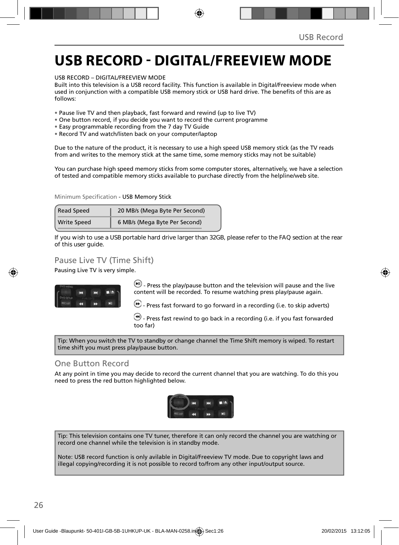# **USB RECORD - DIGITAL/FREEVIEW MODE**

USB RECORD – DIGITAL/FREEVIEW MODE

Built into this television is a USB record facility. This function is available in Digital/Freeview mode when used in conjunction with a compatible USB memory stick or USB hard drive. The benefits of this are as follows:

- Pause live TV and then playback, fast forward and rewind (up to live TV)
- One button record, if you decide you want to record the current programme
- Easy programmable recording from the 7 day TV Guide
- Record TV and watch/listen back on your computer/laptop

Due to the nature of the product, it is necessary to use a high speed USB memory stick (as the TV reads from and writes to the memory stick at the same time, some memory sticks may not be suitable)

You can purchase high speed memory sticks from some computer stores, alternatively, we have a selection of tested and compatible memory sticks available to purchase directly from the helpline/web site.

Minimum Specification - USB Memory Stick

| <b>Read Speed</b>  | 20 MB/s (Mega Byte Per Second) |
|--------------------|--------------------------------|
| <b>Write Speed</b> | 6 MB/s (Mega Byte Per Second)  |

**If you wish to use a USB portable hard drive larger than 32GB, please refer to the FAQ section at the rear of this user guide.**

## Pause Live TV (Time Shift)

Pausing Live TV is very simple.



 $\left(\mathbf{H}\right)$  - Press the play/pause button and the television will pause and the live content will be recorded. To resume watching press play/pause again.

**D** - Press fast forward to go forward in a recording (i.e. to skip adverts)

 $\bigcirc$  - Press fast rewind to go back in a recording (i.e. if you fast forwarded too far)

Tip: When you switch the TV to standby or change channel the Time Shift memory is wiped. To restart time shift you must press play/pause button.

### One Button Record

At any point in time you may decide to record the current channel that you are watching. To do this you need to press the red button highlighted below.



Tip: This television contains one TV tuner, therefore it can only record the channel you are watching or record one channel while the television is in standby mode.

Note: USB record function is only avilable in Digital/Freeview TV mode. Due to copyright laws and illegal copying/recording it is not possible to record to/from any other input/output source.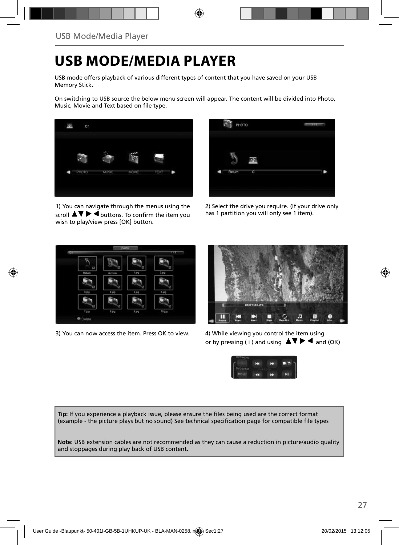## **USB MODE/MEDIA PLAYER**

USB mode offers playback of various different types of content that you have saved on your USB Memory Stick.

On switching to USB source the below menu screen will appear. The content will be divided into Photo, Music, Movie and Text based on file type.



1) You can navigate through the menus using the scroll  $\triangle \triangledown \triangleright \blacktriangleleft$  buttons. To confirm the item you wish to play/view press [OK] button.



2) Select the drive you require. (If your drive only has 1 partition you will only see 1 item).



3) You can now access the item. Press OK to view. 4) While viewing you control the item using



or by pressing ( i ) and using  $\Delta \nabla \blacktriangleright \blacktriangleleft$  and (OK)



Tip: If you experience a playback issue, please ensure the files being used are the correct format (example - the picture plays but no sound) See technical specification page for compatible file types

**Note:** USB extension cables are not recommended as they can cause a reduction in picture/audio quality and stoppages during play back of USB content.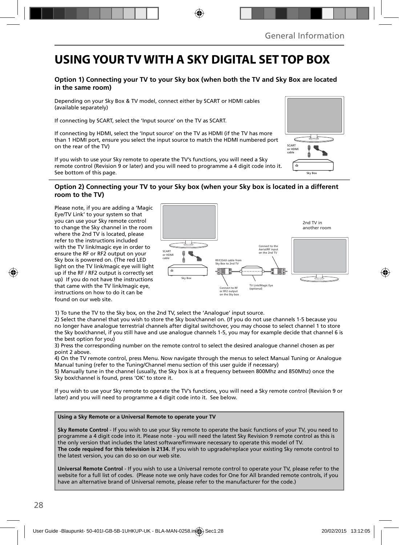## **USING YOUR TV WITH A SKY DIGITAL SET TOP BOX**

### **Option 1) Connecting your TV to your Sky box (when both the TV and Sky Box are located in the same room)**

Depending on your Sky Box & TV model, connect either by SCART or HDMI cables (available separately)

If connecting by SCART, select the 'Input source' on the TV as SCART.

If connecting by HDMI, select the 'Input source' on the TV as HDMI (if the TV has more than 1 HDMI port, ensure you select the input source to match the HDMI numbered port on the rear of the TV)

If you wish to use your Sky remote to operate the TV's functions, you will need a Sky remote control (Revision 9 or later) and you will need to programme a 4 digit code into it. See bottom of this page.

### **Option 2) Connecting your TV to your Sky box (when your Sky box is located in a different room to the TV)**

Please note, if you are adding a 'Magic Eye/TV Link' to your system so that you can use your Sky remote control to change the Sky channel in the room where the 2nd TV is located, please refer to the instructions included with the TV link/magic eye in order to ensure the RF or RF2 output on your Sky box is powered on. (The red LED light on the TV link/magic eye will light up if the RF / RF2 output is correctly set up) If you do not have the instructions that came with the TV link/magic eye, instructions on how to do it can be found on our web site.



1) To tune the TV to the Sky box, on the 2nd TV, select the 'Analogue' input source.

2) Select the channel that you wish to store the Sky box/channel on. (If you do not use channels 1-5 because you no longer have analogue terrestrial channels after digital switchover, you may choose to select channel 1 to store the Sky box/channel, if you still have and use analogue channels 1-5, you may for example decide that channel 6 is the best option for you)

3) Press the corresponding number on the remote control to select the desired analogue channel chosen as per point 2 above.

4) On the TV remote control, press Menu. Now navigate through the menus to select Manual Tuning or Analogue Manual tuning (refer to the Tuning/Channel menu section of this user guide if necessary)

5) Manually tune in the channel (usually, the Sky box is at a frequency between 800Mhz and 850Mhz) once the Sky box/channel is found, press 'OK' to store it.

If you wish to use your Sky remote to operate the TV's functions, you will need a Sky remote control (Revision 9 or later) and you will need to programme a 4 digit code into it. See below.

### **Using a Sky Remote or a Universal Remote to operate your TV**

**Sky Remote Control** - If you wish to use your Sky remote to operate the basic functions of your TV, you need to programme a 4 digit code into it. Please note - you will need the latest Sky Revision 9 remote control as this is the only version that includes the latest software/firmware necessary to operate this model of TV. **The code required for this television is 2134.** If you wish to upgrade/replace your existing Sky remote control to the latest version, you can do so on our web site.

**Universal Remote Control** - If you wish to use a Universal remote control to operate your TV, please refer to the website for a full list of codes. (Please note we only have codes for One for All branded remote controls, if you have an alternative brand of Universal remote, please refer to the manufacturer for the code.)

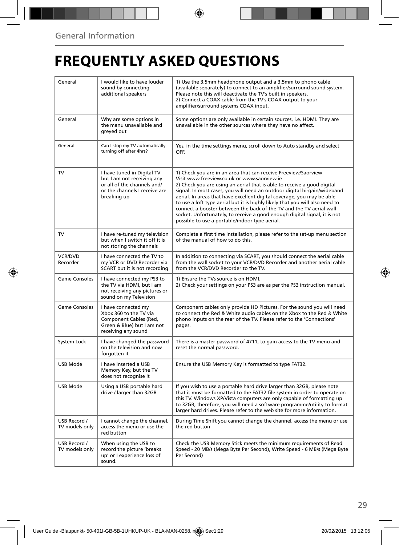# **FREQUENTLY ASKED QUESTIONS**

| General                        | I would like to have louder<br>sound by connecting<br>additional speakers                                                               | 1) Use the 3.5mm headphone output and a 3.5mm to phono cable<br>(available separately) to connect to an amplifier/surround sound system.<br>Please note this will deactivate the TV's built in speakers.<br>2) Connect a COAX cable from the TV's COAX output to your<br>amplifier/surround systems COAX input.                                                                                                                                                                                                                                                                                                                      |
|--------------------------------|-----------------------------------------------------------------------------------------------------------------------------------------|--------------------------------------------------------------------------------------------------------------------------------------------------------------------------------------------------------------------------------------------------------------------------------------------------------------------------------------------------------------------------------------------------------------------------------------------------------------------------------------------------------------------------------------------------------------------------------------------------------------------------------------|
| General                        | Why are some options in<br>the menu unavailable and<br>greyed out                                                                       | Some options are only available in certain sources, i.e. HDMI. They are<br>unavailable in the other sources where they have no affect.                                                                                                                                                                                                                                                                                                                                                                                                                                                                                               |
| General                        | Can I stop my TV automatically<br>turning off after 4hrs?                                                                               | Yes, in the time settings menu, scroll down to Auto standby and select<br>OFF.                                                                                                                                                                                                                                                                                                                                                                                                                                                                                                                                                       |
| TV                             | I have tuned in Digital TV<br>but I am not receiving any<br>or all of the channels and/<br>or the channels I receive are<br>breaking up | 1) Check you are in an area that can receive Freeview/Saorview<br>Visit www.freeview.co.uk or www.saorview.ie<br>2) Check you are using an aerial that is able to receive a good digital<br>signal. In most cases, you will need an outdoor digital hi-gain/wideband<br>aerial. In areas that have excellent digital coverage, you may be able<br>to use a loft type aerial but it is highly likely that you will also need to<br>connect a booster between the back of the TV and the TV aerial wall<br>socket. Unfortunately, to receive a good enough digital signal, it is not<br>possible to use a portable/indoor type aerial. |
| TV                             | I have re-tuned my television<br>but when I switch it off it is<br>not storing the channels                                             | Complete a first time installation, please refer to the set-up menu section<br>of the manual of how to do this.                                                                                                                                                                                                                                                                                                                                                                                                                                                                                                                      |
| <b>VCR/DVD</b><br>Recorder     | I have connected the TV to<br>my VCR or DVD Recorder via<br>SCART but it is not recordina                                               | In addition to connecting via SCART, you should connect the aerial cable<br>from the wall socket to your VCR/DVD Recorder and another aerial cable<br>from the VCR/DVD Recorder to the TV.                                                                                                                                                                                                                                                                                                                                                                                                                                           |
| <b>Game Consoles</b>           | I have connected my PS3 to<br>the TV via HDMI, but I am<br>not receiving any pictures or<br>sound on my Television                      | 1) Ensure the TVs source is on HDMI.<br>2) Check your settings on your PS3 are as per the PS3 instruction manual.                                                                                                                                                                                                                                                                                                                                                                                                                                                                                                                    |
| Game Consoles                  | I have connected my<br>Xbox 360 to the TV via<br>Component Cables (Red,<br>Green & Blue) but I am not<br>receiving any sound            | Component cables only provide HD Pictures. For the sound you will need<br>to connect the Red & White audio cables on the Xbox to the Red & White<br>phono inputs on the rear of the TV. Please refer to the 'Connections'<br>pages.                                                                                                                                                                                                                                                                                                                                                                                                  |
| System Lock                    | I have changed the password<br>on the television and now<br>forgotten it                                                                | There is a master password of 4711, to gain access to the TV menu and<br>reset the normal password.                                                                                                                                                                                                                                                                                                                                                                                                                                                                                                                                  |
| <b>USB Mode</b>                | I have inserted a USB<br>Memory Key, but the TV<br>does not recognise it                                                                | Ensure the USB Memory Key is formatted to type FAT32.                                                                                                                                                                                                                                                                                                                                                                                                                                                                                                                                                                                |
| USB Mode                       | Using a USB portable hard<br>drive / larger than 32GB                                                                                   | If you wish to use a portable hard drive larger than 32GB, please note<br>that it must be formatted to the FAT32 file system in order to operate on<br>this TV. Windows XP/Vista computers are only capable of formatting up<br>to 32GB, therefore, you will need a software programme/utility to format<br>larger hard drives. Please refer to the web site for more information.                                                                                                                                                                                                                                                   |
| USB Record /<br>TV models only | I cannot change the channel,<br>access the menu or use the<br>red button                                                                | During Time Shift you cannot change the channel, access the menu or use<br>the red button                                                                                                                                                                                                                                                                                                                                                                                                                                                                                                                                            |
| USB Record /<br>TV models only | When using the USB to<br>record the picture 'breaks<br>up' or I experience loss of<br>sound.                                            | Check the USB Memory Stick meets the minimum requirements of Read<br>Speed - 20 MB/s (Mega Byte Per Second), Write Speed - 6 MB/s (Mega Byte<br>Per Second)                                                                                                                                                                                                                                                                                                                                                                                                                                                                          |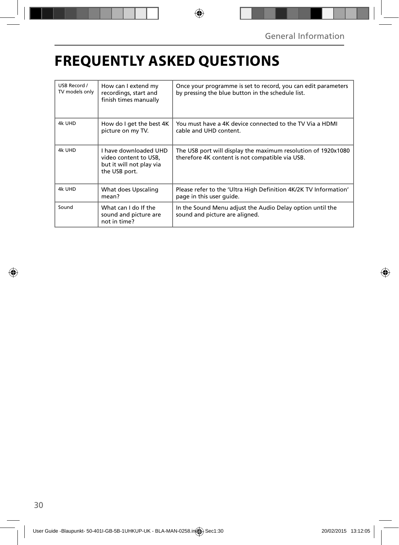# **FREQUENTLY ASKED QUESTIONS**

| USB Record /<br>TV models only | How can I extend my<br>recordings, start and<br>finish times manually                       | Once your programme is set to record, you can edit parameters<br>by pressing the blue button in the schedule list. |
|--------------------------------|---------------------------------------------------------------------------------------------|--------------------------------------------------------------------------------------------------------------------|
| 4k UHD                         | How do I get the best 4K<br>picture on my TV.                                               | You must have a 4K device connected to the TV Via a HDMI<br>cable and UHD content.                                 |
| 4k UHD                         | I have downloaded UHD<br>video content to USB,<br>but it will not play via<br>the USB port. | The USB port will display the maximum resolution of 1920x1080<br>therefore 4K content is not compatible via USB.   |
| 4k UHD                         | What does Upscaling<br>mean?                                                                | Please refer to the 'Ultra High Definition 4K/2K TV Information'<br>page in this user quide.                       |
| Sound                          | What can I do If the<br>sound and picture are<br>not in time?                               | In the Sound Menu adjust the Audio Delay option until the<br>sound and picture are aligned.                        |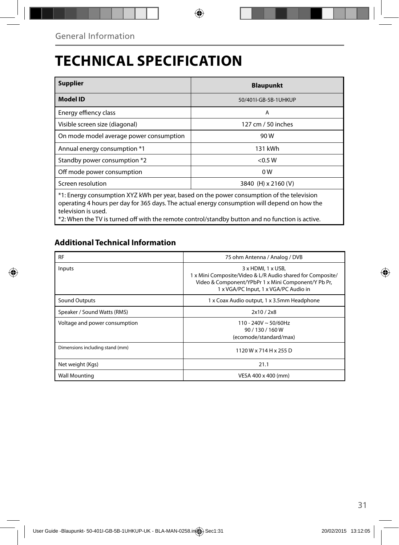# **TECHNICAL SPECIFICATION**

| <b>Supplier</b>                                                                           | <b>Blaupunkt</b>     |  |
|-------------------------------------------------------------------------------------------|----------------------|--|
| <b>Model ID</b>                                                                           | 50/401I-GB-5B-1UHKUP |  |
| Energy effiency class                                                                     | A                    |  |
| Visible screen size (diagonal)                                                            | 127 cm / 50 inches   |  |
| On mode model average power consumption                                                   | 90 W                 |  |
| Annual energy consumption *1                                                              | 131 kWh              |  |
| Standby power consumption *2                                                              | < 0.5 W              |  |
| Off mode power consumption                                                                | 0 <sub>W</sub>       |  |
| Screen resolution                                                                         | 3840 (H) x 2160 (V)  |  |
| *1: Energy consumption XYZ kWh per year, based on the power consumption of the television |                      |  |

operating 4 hours per day for 365 days. The actual energy consumption will depend on how the television is used.

\*2: When the TV is turned off with the remote control/standby button and no function is active.

## **Additional Technical Information**

| <b>RF</b>                       | 75 ohm Antenna / Analog / DVB                                                                                                                                                                  |  |
|---------------------------------|------------------------------------------------------------------------------------------------------------------------------------------------------------------------------------------------|--|
| Inputs                          | $3 \times$ HDMI, $1 \times$ USB,<br>1 x Mini Composite/Video & L/R Audio shared for Composite/<br>Video & Component/YPbPr 1 x Mini Component/Y Pb Pr,<br>1 x VGA/PC Input, 1 x VGA/PC Audio in |  |
| <b>Sound Outputs</b>            | 1 x Coax Audio output, 1 x 3.5mm Headphone                                                                                                                                                     |  |
| Speaker / Sound Watts (RMS)     | 2x10 / 2x8                                                                                                                                                                                     |  |
| Voltage and power consumption   | $110 - 240V \sim 50/60Hz$<br>90/130/160W<br>(ecomode/standard/max)                                                                                                                             |  |
| Dimensions including stand (mm) | 1120 W x 714 H x 255 D                                                                                                                                                                         |  |
| Net weight (Kgs)                | 21.1                                                                                                                                                                                           |  |
| <b>Wall Mounting</b>            | VESA 400 x 400 (mm)                                                                                                                                                                            |  |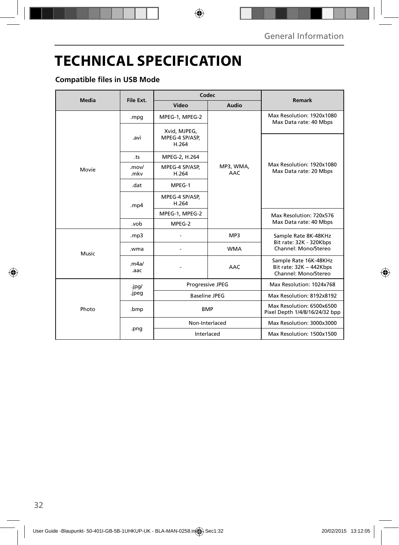# **TECHNICAL SPECIFICATION**

## **Compatible files in USB Mode**

| Media | File Ext.     | Codec                                   |                         |                                                                               |
|-------|---------------|-----------------------------------------|-------------------------|-------------------------------------------------------------------------------|
|       |               | Video                                   | Audio                   | <b>Remark</b>                                                                 |
|       | .mpg          | MPEG-1, MPEG-2                          |                         | Max Resolution: 1920x1080<br>Max Data rate: 40 Mbps                           |
|       | .avi          | Xvid, MJPEG,<br>MPEG-4 SP/ASP,<br>H.264 | MP3, WMA,<br><b>AAC</b> |                                                                               |
|       | .ts           | MPEG-2, H.264                           |                         |                                                                               |
| Movie | .mov/<br>.mkv | MPEG-4 SP/ASP,<br>H.264                 |                         | Max Resolution: 1920x1080<br>Max Data rate: 20 Mbps                           |
|       | .dat          | MPEG-1                                  |                         |                                                                               |
|       | .mp $4$       | MPEG-4 SP/ASP,<br>H.264                 |                         |                                                                               |
|       |               | MPEG-1, MPEG-2                          |                         | Max Resolution: 720x576                                                       |
|       | .vob          | MPEG-2                                  |                         | Max Data rate: 40 Mbps                                                        |
| Music | mp3.          |                                         | MP3                     | Sample Rate 8K-48KHz<br>Bit rate: 32K - 320Kbps                               |
|       | .wma          |                                         | <b>WMA</b>              | Channel: Mono/Stereo                                                          |
|       | .m4a/<br>.aac |                                         | <b>AAC</b>              | Sample Rate 16K-48KHz<br>Bit rate: $32K \sim 442Kbps$<br>Channel: Mono/Stereo |
| Photo | .jpg/         |                                         | Progressive JPEG        | Max Resolution: 1024x768                                                      |
|       | .jpeg         | <b>Baseline JPEG</b>                    |                         | Max Resolution: 8192x8192                                                     |
|       | .bmp          | <b>BMP</b>                              |                         | Max Resolution: 6500x6500<br>Pixel Depth 1/4/8/16/24/32 bpp                   |
|       | .png          | Non-Interlaced                          |                         | Max Resolution: 3000x3000                                                     |
|       |               | Interlaced                              |                         | Max Resolution: 1500x1500                                                     |